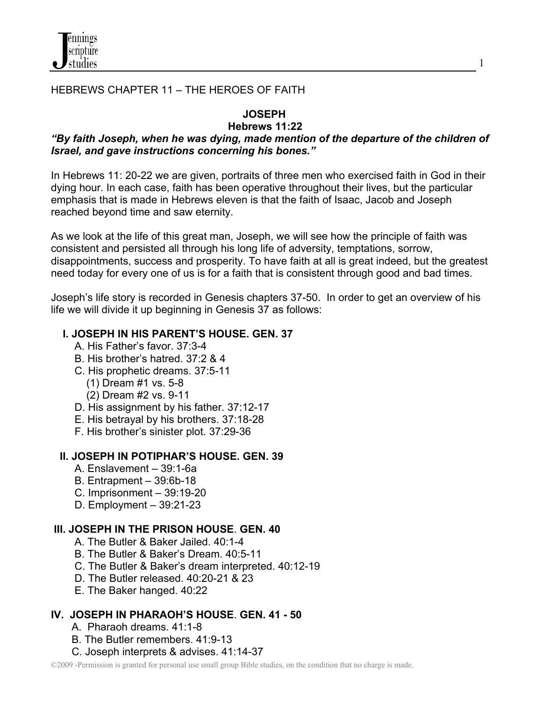

# HEBREWS CHAPTER 11 – THE HEROES OF FAITH

# **JOSEPH**

#### **Hebrews 11:22**  *"By faith Joseph, when he was dying, made mention of the departure of the children of Israel, and gave instructions concerning his bones."*

In Hebrews 11: 20-22 we are given, portraits of three men who exercised faith in God in their dying hour. In each case, faith has been operative throughout their lives, but the particular emphasis that is made in Hebrews eleven is that the faith of Isaac, Jacob and Joseph reached beyond time and saw eternity.

As we look at the life of this great man, Joseph, we will see how the principle of faith was consistent and persisted all through his long life of adversity, temptations, sorrow, disappointments, success and prosperity. To have faith at all is great indeed, but the greatest need today for every one of us is for a faith that is consistent through good and bad times.

Joseph's life story is recorded in Genesis chapters 37-50. In order to get an overview of his life we will divide it up beginning in Genesis 37 as follows:

# **I. JOSEPH IN HIS PARENT'S HOUSE. GEN. 37**

- A. His Father's favor. 37:3-4
- B. His brother's hatred. 37:2 & 4
- C. His prophetic dreams. 37:5-11
	- (1) Dream #1 vs. 5-8
	- (2) Dream #2 vs. 9-11
- D. His assignment by his father. 37:12-17
- E. His betrayal by his brothers. 37:18-28
- F. His brother's sinister plot. 37:29-36

# **II. JOSEPH IN POTIPHAR'S HOUSE. GEN. 39**

- A. Enslavement 39:1-6a
- B. Entrapment 39:6b-18
- C. Imprisonment 39:19-20
- D. Employment 39:21-23

# **III. JOSEPH IN THE PRISON HOUSE**. **GEN. 40**

- A. The Butler & Baker Jailed. 40:1-4
- B. The Butler & Baker's Dream. 40:5-11
- C. The Butler & Baker's dream interpreted. 40:12-19
- D. The Butler released. 40:20-21 & 23
- E. The Baker hanged. 40:22

# **IV. JOSEPH IN PHARAOH'S HOUSE**. **GEN. 41 - 50**

- A. Pharaoh dreams. 41:1-8
- B. The Butler remembers. 41:9-13
- C. Joseph interprets & advises. 41:14-37